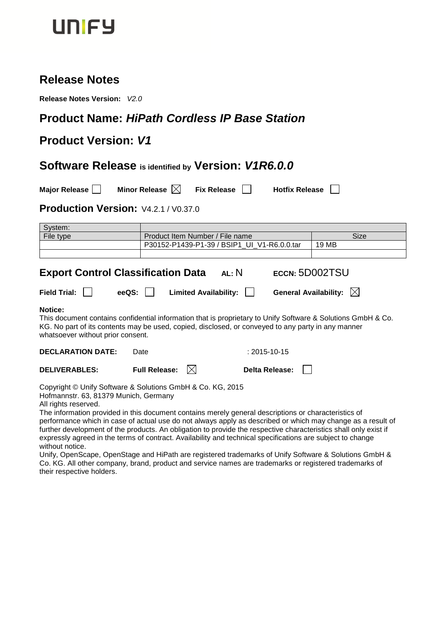

## **Release Notes**

**Release Notes Version:** *V2.0*

# **Product Name:** *HiPath Cordless IP Base Station*

# **Product Version:** *V1*

### **Software Release is identified by Version:** *V1R6.0.0*

**Major Release Minor Release N** Fix Release **N** Hotfix Release **N** 

## **Production Version:** V4.2.1 / V0.37.0

| System:                                                                                                                                                                                                                                                                                                                                                                                                                                                                                  |                             |                                             |                              |                                                                                                              |
|------------------------------------------------------------------------------------------------------------------------------------------------------------------------------------------------------------------------------------------------------------------------------------------------------------------------------------------------------------------------------------------------------------------------------------------------------------------------------------------|-----------------------------|---------------------------------------------|------------------------------|--------------------------------------------------------------------------------------------------------------|
| File type                                                                                                                                                                                                                                                                                                                                                                                                                                                                                |                             | Product Item Number / File name             |                              | <b>Size</b>                                                                                                  |
|                                                                                                                                                                                                                                                                                                                                                                                                                                                                                          |                             | P30152-P1439-P1-39 / BSIP1_UI_V1-R6.0.0.tar |                              | 19 MB                                                                                                        |
|                                                                                                                                                                                                                                                                                                                                                                                                                                                                                          |                             |                                             |                              |                                                                                                              |
|                                                                                                                                                                                                                                                                                                                                                                                                                                                                                          |                             |                                             |                              |                                                                                                              |
| <b>Export Control Classification Data</b>                                                                                                                                                                                                                                                                                                                                                                                                                                                |                             | AL: N                                       | ECCN: 5D002TSU               |                                                                                                              |
| <b>Field Trial:</b>                                                                                                                                                                                                                                                                                                                                                                                                                                                                      | eeQS:                       | <b>Limited Availability:</b>                | <b>General Availability:</b> | IXI                                                                                                          |
| Notice:<br>KG. No part of its contents may be used, copied, disclosed, or conveyed to any party in any manner<br>whatsoever without prior consent.                                                                                                                                                                                                                                                                                                                                       |                             |                                             |                              | This document contains confidential information that is proprietary to Unify Software & Solutions GmbH & Co. |
| <b>DECLARATION DATE:</b>                                                                                                                                                                                                                                                                                                                                                                                                                                                                 | Date                        |                                             | $: 2015 - 10 - 15$           |                                                                                                              |
| <b>DELIVERABLES:</b>                                                                                                                                                                                                                                                                                                                                                                                                                                                                     | <b>Full Release:</b><br>IXI |                                             | Delta Release:               |                                                                                                              |
| Copyright © Unify Software & Solutions GmbH & Co. KG, 2015<br>Hofmannstr. 63, 81379 Munich, Germany<br>All rights reserved.<br>The information provided in this document contains merely general descriptions or characteristics of<br>further development of the products. An obligation to provide the respective characteristics shall only exist if<br>expressly agreed in the terms of contract. Availability and technical specifications are subject to change<br>without notice. |                             |                                             |                              | performance which in case of actual use do not always apply as described or which may change as a result of  |

Unify, OpenScape, OpenStage and HiPath are registered trademarks of Unify Software & Solutions GmbH & Co. KG. All other company, brand, product and service names are trademarks or registered trademarks of their respective holders.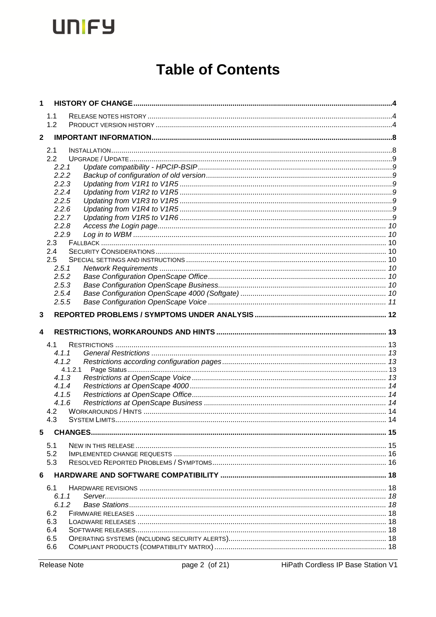# **Table of Contents**

|             | 1.1            |  |
|-------------|----------------|--|
|             | 1.2            |  |
| $\mathbf 2$ |                |  |
|             |                |  |
|             | 2.1            |  |
|             | 2.2            |  |
|             | 2.2.1          |  |
|             | 2.2.2          |  |
|             | 2.2.3<br>2.2.4 |  |
|             | 2.2.5          |  |
|             | 2.2.6          |  |
|             | 2.2.7          |  |
|             | 2.2.8          |  |
|             | 2.2.9          |  |
|             | 2.3            |  |
|             | 2.4            |  |
|             | 2.5            |  |
|             | 2.5.1          |  |
|             | 2.5.2          |  |
|             | 2.5.3          |  |
|             | 2.5.4          |  |
|             | 2.5.5          |  |
|             |                |  |
| 3           |                |  |
|             |                |  |
| 4           |                |  |
|             |                |  |
|             | 4.1<br>4.1.1   |  |
|             | 4.1.2          |  |
|             | 4.1.2.1        |  |
|             | 4.1.3          |  |
|             | 4.1.4          |  |
|             | 4.1.5          |  |
|             | 4.1.6          |  |
|             | 4.2            |  |
|             | 4.3            |  |
| 5           |                |  |
|             |                |  |
|             | 5.1            |  |
|             | 5.2            |  |
|             | 5.3            |  |
| 6           |                |  |
|             | 6.1            |  |
|             | 6.1.1          |  |
|             | 6.1.2          |  |
|             | 6.2            |  |
|             | 6.3            |  |
|             | 6.4            |  |
|             | 6.5            |  |
|             | 6.6            |  |

HiPath Cordless IP Base Station V1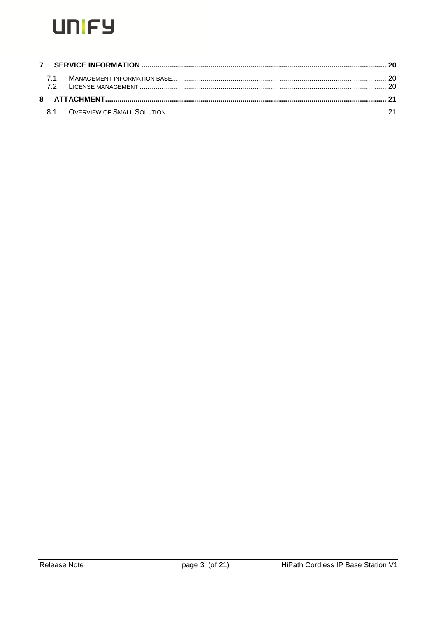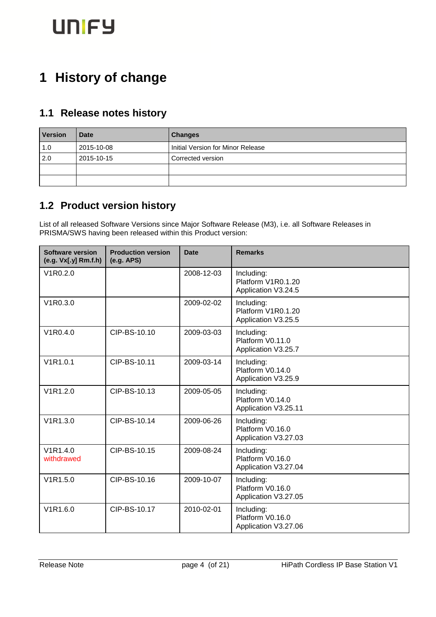# <span id="page-3-0"></span>**1 History of change**

## <span id="page-3-1"></span>**1.1 Release notes history**

| <b>Version</b> | <b>Date</b> | <b>Changes</b>                    |
|----------------|-------------|-----------------------------------|
| 1.0            | 2015-10-08  | Initial Version for Minor Release |
| 2.0            | 2015-10-15  | Corrected version                 |
|                |             |                                   |
|                |             |                                   |

# <span id="page-3-2"></span>**1.2 Product version history**

List of all released Software Versions since Major Software Release (M3), i.e. all Software Releases in PRISMA/SWS having been released within this Product version:

| <b>Software version</b><br>(e.g. Vx[.y] Rm.f.h) | <b>Production version</b><br>(e.g. APS) | <b>Date</b> | <b>Remarks</b>                                          |
|-------------------------------------------------|-----------------------------------------|-------------|---------------------------------------------------------|
| V <sub>1</sub> R <sub>0.2.0</sub>               |                                         | 2008-12-03  | Including:<br>Platform V1R0.1.20<br>Application V3.24.5 |
| V <sub>1</sub> R <sub>0</sub> .3.0              |                                         | 2009-02-02  | Including:<br>Platform V1R0.1.20<br>Application V3.25.5 |
| V <sub>1</sub> R <sub>0.4.0</sub>               | CIP-BS-10.10                            | 2009-03-03  | Including:<br>Platform V0.11.0<br>Application V3.25.7   |
| V1R1.0.1                                        | CIP-BS-10.11                            | 2009-03-14  | Including:<br>Platform V0.14.0<br>Application V3.25.9   |
| V1R1.2.0                                        | CIP-BS-10.13                            | 2009-05-05  | Including:<br>Platform V0.14.0<br>Application V3.25.11  |
| V1R1.3.0                                        | CIP-BS-10.14                            | 2009-06-26  | Including:<br>Platform V0.16.0<br>Application V3.27.03  |
| V1R1.4.0<br>withdrawed                          | CIP-BS-10.15                            | 2009-08-24  | Including:<br>Platform V0.16.0<br>Application V3.27.04  |
| V1R1.5.0                                        | CIP-BS-10.16                            | 2009-10-07  | Including:<br>Platform V0.16.0<br>Application V3.27.05  |
| V1R1.6.0                                        | CIP-BS-10.17                            | 2010-02-01  | Including:<br>Platform V0.16.0<br>Application V3.27.06  |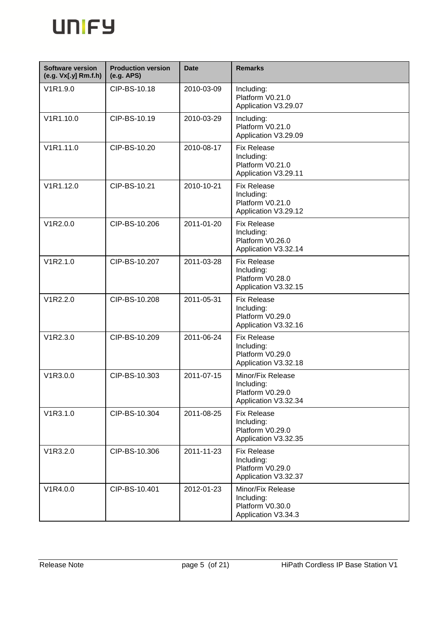

| <b>Software version</b><br>(e.g. Vx[.y] Rm.f.h) | <b>Production version</b><br>(e.g. APS) | <b>Date</b> | <b>Remarks</b>                                                               |
|-------------------------------------------------|-----------------------------------------|-------------|------------------------------------------------------------------------------|
| V1R1.9.0                                        | CIP-BS-10.18                            | 2010-03-09  | Including:<br>Platform V0.21.0<br>Application V3.29.07                       |
| V1R1.10.0                                       | CIP-BS-10.19                            | 2010-03-29  | Including:<br>Platform V0.21.0<br>Application V3.29.09                       |
| V1R1.11.0                                       | CIP-BS-10.20                            | 2010-08-17  | <b>Fix Release</b><br>Including:<br>Platform V0.21.0<br>Application V3.29.11 |
| V1R1.12.0                                       | CIP-BS-10.21                            | 2010-10-21  | <b>Fix Release</b><br>Including:<br>Platform V0.21.0<br>Application V3.29.12 |
| V1R2.0.0                                        | CIP-BS-10.206                           | 2011-01-20  | <b>Fix Release</b><br>Including:<br>Platform V0.26.0<br>Application V3.32.14 |
| V1R2.1.0                                        | CIP-BS-10.207                           | 2011-03-28  | <b>Fix Release</b><br>Including:<br>Platform V0.28.0<br>Application V3.32.15 |
| V1R2.2.0                                        | CIP-BS-10.208                           | 2011-05-31  | <b>Fix Release</b><br>Including:<br>Platform V0.29.0<br>Application V3.32.16 |
| V1R2.3.0                                        | CIP-BS-10.209                           | 2011-06-24  | <b>Fix Release</b><br>Including:<br>Platform V0.29.0<br>Application V3.32.18 |
| V1R3.0.0                                        | CIP-BS-10.303                           | 2011-07-15  | Minor/Fix Release<br>Including:<br>Platform V0.29.0<br>Application V3.32.34  |
| V1R3.1.0                                        | CIP-BS-10.304                           | 2011-08-25  | <b>Fix Release</b><br>Including:<br>Platform V0.29.0<br>Application V3.32.35 |
| V1R3.2.0                                        | CIP-BS-10.306                           | 2011-11-23  | <b>Fix Release</b><br>Including:<br>Platform V0.29.0<br>Application V3.32.37 |
| V1R4.0.0                                        | CIP-BS-10.401                           | 2012-01-23  | Minor/Fix Release<br>Including:<br>Platform V0.30.0<br>Application V3.34.3   |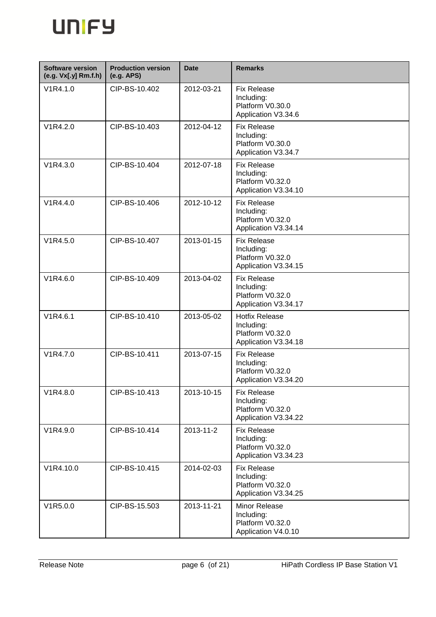

| <b>Software version</b><br>(e.g. Vx[.y] Rm.f.h) | <b>Production version</b><br>(e.g. APS) | <b>Date</b> | <b>Remarks</b>                                                                  |
|-------------------------------------------------|-----------------------------------------|-------------|---------------------------------------------------------------------------------|
| V1R4.1.0                                        | CIP-BS-10.402                           | 2012-03-21  | <b>Fix Release</b><br>Including:<br>Platform V0.30.0<br>Application V3.34.6     |
| V1R4.2.0                                        | CIP-BS-10.403                           | 2012-04-12  | <b>Fix Release</b><br>Including:<br>Platform V0.30.0<br>Application V3.34.7     |
| V1R4.3.0                                        | CIP-BS-10.404                           | 2012-07-18  | <b>Fix Release</b><br>Including:<br>Platform V0.32.0<br>Application V3.34.10    |
| V1R4.4.0                                        | CIP-BS-10.406                           | 2012-10-12  | <b>Fix Release</b><br>Including:<br>Platform V0.32.0<br>Application V3.34.14    |
| V1R4.5.0                                        | CIP-BS-10.407                           | 2013-01-15  | <b>Fix Release</b><br>Including:<br>Platform V0.32.0<br>Application V3.34.15    |
| V <sub>1</sub> R <sub>4.6.0</sub>               | CIP-BS-10.409                           | 2013-04-02  | <b>Fix Release</b><br>Including:<br>Platform V0.32.0<br>Application V3.34.17    |
| V1R4.6.1                                        | CIP-BS-10.410                           | 2013-05-02  | <b>Hotfix Release</b><br>Including:<br>Platform V0.32.0<br>Application V3.34.18 |
| V1R4.7.0                                        | CIP-BS-10.411                           | 2013-07-15  | <b>Fix Release</b><br>Including:<br>Platform V0.32.0<br>Application V3.34.20    |
| V1R4.8.0                                        | CIP-BS-10.413                           | 2013-10-15  | <b>Fix Release</b><br>Including:<br>Platform V0.32.0<br>Application V3.34.22    |
| V1R4.9.0                                        | CIP-BS-10.414                           | 2013-11-2   | <b>Fix Release</b><br>Including:<br>Platform V0.32.0<br>Application V3.34.23    |
| V1R4.10.0                                       | CIP-BS-10.415                           | 2014-02-03  | <b>Fix Release</b><br>Including:<br>Platform V0.32.0<br>Application V3.34.25    |
| V1R5.0.0                                        | CIP-BS-15.503                           | 2013-11-21  | Minor Release<br>Including:<br>Platform V0.32.0<br>Application V4.0.10          |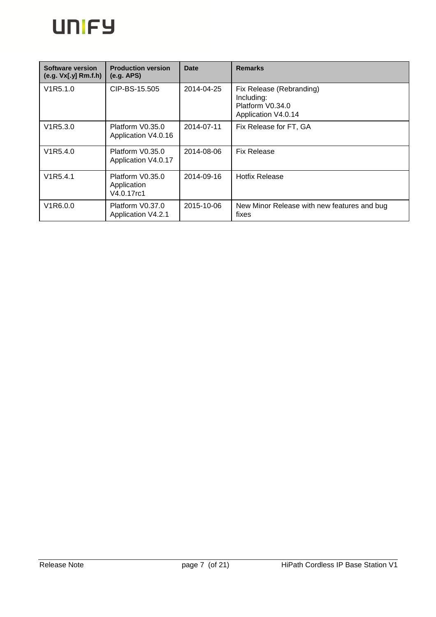

| Software version<br>(e.g. Vx[.y] Rm.f.h) | <b>Production version</b><br>(e.g. APS)       | <b>Date</b> | <b>Remarks</b>                                                                    |
|------------------------------------------|-----------------------------------------------|-------------|-----------------------------------------------------------------------------------|
| V1R5.1.0                                 | CIP-BS-15.505                                 | 2014-04-25  | Fix Release (Rebranding)<br>Including:<br>Platform V0.34.0<br>Application V4.0.14 |
| V1R5.3.0                                 | Platform V0.35.0<br>Application V4.0.16       | 2014-07-11  | Fix Release for FT, GA                                                            |
| V1R5.4.0                                 | Platform V0.35.0<br>Application V4.0.17       | 2014-08-06  | <b>Fix Release</b>                                                                |
| V <sub>1</sub> R <sub>5</sub> .4.1       | Platform V0.35.0<br>Application<br>V4.0.17rc1 | 2014-09-16  | <b>Hotfix Release</b>                                                             |
| V <sub>1</sub> R <sub>6</sub> .0.0       | Platform V0.37.0<br>Application V4.2.1        | 2015-10-06  | New Minor Release with new features and bug<br>fixes                              |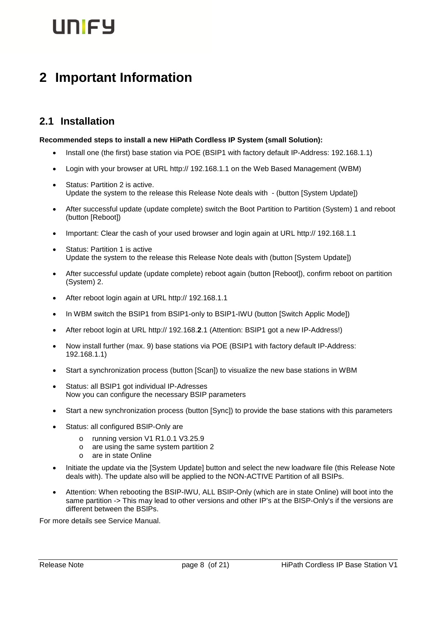# unicy

# <span id="page-7-0"></span>**2 Important Information**

## <span id="page-7-1"></span>**2.1 Installation**

#### **Recommended steps to install a new HiPath Cordless IP System (small Solution):**

- Install one (the first) base station via POE (BSIP1 with factory default IP-Address: 192.168.1.1)
- Login with your browser at URL http:// 192.168.1.1 on the Web Based Management (WBM)
- Status: Partition 2 is active. Update the system to the release this Release Note deals with - (button [System Update])
- After successful update (update complete) switch the Boot Partition to Partition (System) 1 and reboot (button [Reboot])
- Important: Clear the cash of your used browser and login again at URL http:// 192.168.1.1
- Status: Partition 1 is active Update the system to the release this Release Note deals with (button [System Update])
- After successful update (update complete) reboot again (button [Reboot]), confirm reboot on partition (System) 2.
- After reboot login again at URL http:// 192.168.1.1
- In WBM switch the BSIP1 from BSIP1-only to BSIP1-IWU (button [Switch Applic Mode])
- After reboot login at URL http:// 192.168.**2**.1 (Attention: BSIP1 got a new IP-Address!)
- Now install further (max. 9) base stations via POE (BSIP1 with factory default IP-Address: 192.168.1.1)
- Start a synchronization process (button [Scan]) to visualize the new base stations in WBM
- Status: all BSIP1 got individual IP-Adresses Now you can configure the necessary BSIP parameters
- Start a new synchronization process (button [Sync]) to provide the base stations with this parameters
- Status: all configured BSIP-Only are
	- o running version V1 R1.0.1 V3.25.9
	- o are using the same system partition 2
	- o are in state Online
- Initiate the update via the [System Update] button and select the new loadware file (this Release Note deals with). The update also will be applied to the NON-ACTIVE Partition of all BSIPs.
- Attention: When rebooting the BSIP-IWU, ALL BSIP-Only (which are in state Online) will boot into the same partition -> This may lead to other versions and other IP's at the BISP-Only's if the versions are different between the BSIPs.

For more details see Service Manual.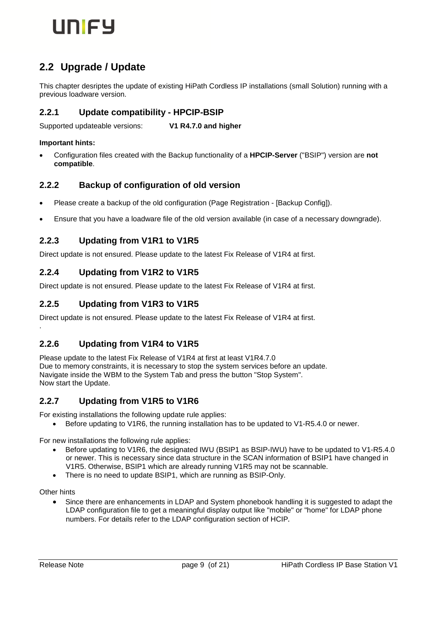

# <span id="page-8-0"></span>**2.2 Upgrade / Update**

This chapter desriptes the update of existing HiPath Cordless IP installations (small Solution) running with a previous loadware version.

#### <span id="page-8-1"></span>**2.2.1 Update compatibility - HPCIP-BSIP**

Supported updateable versions: **V1 R4.7.0 and higher**

#### **Important hints:**

 Configuration files created with the Backup functionality of a **HPCIP-Server** ("BSIP") version are **not compatible**.

#### <span id="page-8-2"></span>**2.2.2 Backup of configuration of old version**

- Please create a backup of the old configuration (Page Registration [Backup Config]).
- Ensure that you have a loadware file of the old version available (in case of a necessary downgrade).

#### <span id="page-8-3"></span>**2.2.3 Updating from V1R1 to V1R5**

Direct update is not ensured. Please update to the latest Fix Release of V1R4 at first.

#### <span id="page-8-4"></span>**2.2.4 Updating from V1R2 to V1R5**

Direct update is not ensured. Please update to the latest Fix Release of V1R4 at first.

#### <span id="page-8-5"></span>**2.2.5 Updating from V1R3 to V1R5**

Direct update is not ensured. Please update to the latest Fix Release of V1R4 at first.

#### <span id="page-8-6"></span>**2.2.6 Updating from V1R4 to V1R5**

Please update to the latest Fix Release of V1R4 at first at least V1R4.7.0 Due to memory constraints, it is necessary to stop the system services before an update. Navigate inside the WBM to the System Tab and press the button "Stop System". Now start the Update.

#### **2.2.7 Updating from V1R5 to V1R6**

For existing installations the following update rule applies:

<span id="page-8-7"></span>Before updating to V1R6, the running installation has to be updated to V1-R5.4.0 or newer.

For new installations the following rule applies:

- Before updating to V1R6, the designated IWU (BSIP1 as BSIP-IWU) have to be updated to V1-R5.4.0 or newer. This is necessary since data structure in the SCAN information of BSIP1 have changed in V1R5. Otherwise, BSIP1 which are already running V1R5 may not be scannable.
- There is no need to update BSIP1, which are running as BSIP-Only.

Other hints

.

Since there are enhancements in LDAP and System phonebook handling it is suggested to adapt the LDAP configuration file to get a meaningful display output like "mobile" or "home" for LDAP phone numbers. For details refer to the LDAP configuration section of HCIP*.*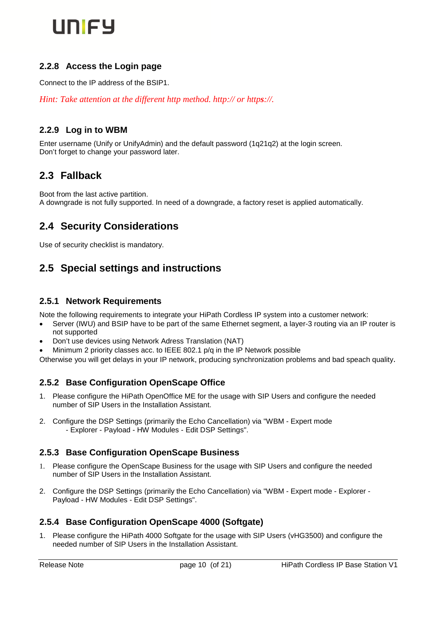

#### <span id="page-9-0"></span>**2.2.8 Access the Login page**

Connect to the IP address of the BSIP1.

*Hint: Take attention at the different http method. http:// or https://.*

#### <span id="page-9-1"></span>**2.2.9 Log in to WBM**

Enter username (Unify or UnifyAdmin) and the default password (1q21q2) at the login screen. Don't forget to change your password later.

### <span id="page-9-2"></span>**2.3 Fallback**

Boot from the last active partition. A downgrade is not fully supported. In need of a downgrade, a factory reset is applied automatically.

## <span id="page-9-3"></span>**2.4 Security Considerations**

Use of security checklist is mandatory.

## <span id="page-9-4"></span>**2.5 Special settings and instructions**

#### <span id="page-9-5"></span>**2.5.1 Network Requirements**

Note the following requirements to integrate your HiPath Cordless IP system into a customer network:

- Server (IWU) and BSIP have to be part of the same Ethernet segment, a layer-3 routing via an IP router is not supported
- Don't use devices using Network Adress Translation (NAT)
- Minimum 2 priority classes acc. to IEEE 802.1 p/q in the IP Network possible

Otherwise you will get delays in your IP network, producing synchronization problems and bad speach quality.

#### <span id="page-9-6"></span>**2.5.2 Base Configuration OpenScape Office**

- Please configure the HiPath OpenOffice ME for the usage with SIP Users and configure the needed number of SIP Users in the Installation Assistant.
- 2. Configure the DSP Settings (primarily the Echo Cancellation) via "WBM Expert mode - Explorer - Payload - HW Modules - Edit DSP Settings".

#### <span id="page-9-7"></span>**2.5.3 Base Configuration OpenScape Business**

- 1. Please configure the OpenScape Business for the usage with SIP Users and configure the needed number of SIP Users in the Installation Assistant.
- 2. Configure the DSP Settings (primarily the Echo Cancellation) via "WBM Expert mode Explorer Payload - HW Modules - Edit DSP Settings".

#### <span id="page-9-8"></span>**2.5.4 Base Configuration OpenScape 4000 (Softgate)**

1. Please configure the HiPath 4000 Softgate for the usage with SIP Users (vHG3500) and configure the needed number of SIP Users in the Installation Assistant.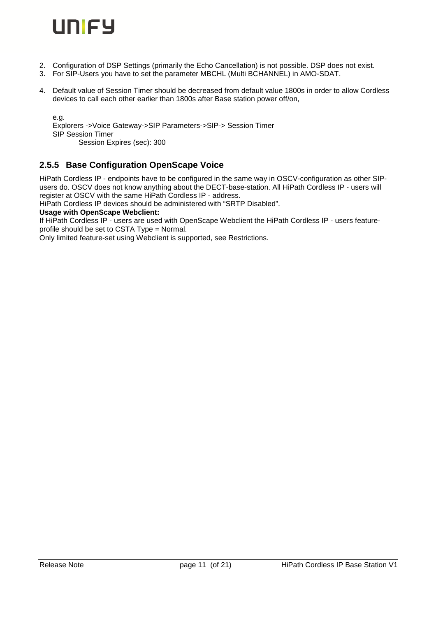

- 2. Configuration of DSP Settings (primarily the Echo Cancellation) is not possible. DSP does not exist.
- 3. For SIP-Users you have to set the parameter MBCHL (Multi BCHANNEL) in AMO-SDAT.
- 4. Default value of Session Timer should be decreased from default value 1800s in order to allow Cordless devices to call each other earlier than 1800s after Base station power off/on,

e.g. Explorers ->Voice Gateway->SIP Parameters->SIP-> Session Timer SIP Session Timer Session Expires (sec): 300

#### <span id="page-10-0"></span>**2.5.5 Base Configuration OpenScape Voice**

HiPath Cordless IP - endpoints have to be configured in the same way in OSCV-configuration as other SIPusers do. OSCV does not know anything about the DECT-base-station. All HiPath Cordless IP - users will register at OSCV with the same HiPath Cordless IP - address.

HiPath Cordless IP devices should be administered with "SRTP Disabled".

#### **Usage with OpenScape Webclient:**

If HiPath Cordless IP - users are used with OpenScape Webclient the HiPath Cordless IP - users featureprofile should be set to CSTA Type = Normal.

Only limited feature-set using Webclient is supported, see Restrictions.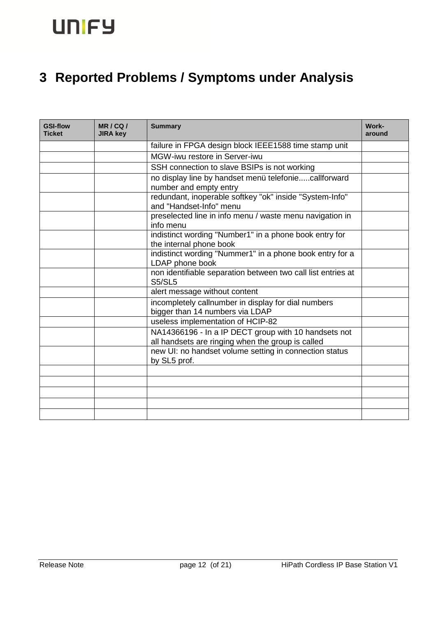# <span id="page-11-0"></span>**3 Reported Problems / Symptoms under Analysis**

| <b>GSI-flow</b><br><b>Ticket</b> | MR/CQ/<br><b>JIRA key</b> | <b>Summary</b>                                                                                            | Work-<br>around |
|----------------------------------|---------------------------|-----------------------------------------------------------------------------------------------------------|-----------------|
|                                  |                           | failure in FPGA design block IEEE1588 time stamp unit                                                     |                 |
|                                  |                           | MGW-iwu restore in Server-iwu                                                                             |                 |
|                                  |                           | SSH connection to slave BSIPs is not working                                                              |                 |
|                                  |                           | no display line by handset menü telefoniecallforward<br>number and empty entry                            |                 |
|                                  |                           | redundant, inoperable softkey "ok" inside "System-Info"<br>and "Handset-Info" menu                        |                 |
|                                  |                           | preselected line in info menu / waste menu navigation in<br>info menu                                     |                 |
|                                  |                           | indistinct wording "Number1" in a phone book entry for<br>the internal phone book                         |                 |
|                                  |                           | indistinct wording "Nummer1" in a phone book entry for a<br>LDAP phone book                               |                 |
|                                  |                           | non identifiable separation between two call list entries at<br><b>S5/SL5</b>                             |                 |
|                                  |                           | alert message without content                                                                             |                 |
|                                  |                           | incompletely callnumber in display for dial numbers<br>bigger than 14 numbers via LDAP                    |                 |
|                                  |                           | useless implementation of HCIP-82                                                                         |                 |
|                                  |                           | NA14366196 - In a IP DECT group with 10 handsets not<br>all handsets are ringing when the group is called |                 |
|                                  |                           | new UI: no handset volume setting in connection status<br>by SL5 prof.                                    |                 |
|                                  |                           |                                                                                                           |                 |
|                                  |                           |                                                                                                           |                 |
|                                  |                           |                                                                                                           |                 |
|                                  |                           |                                                                                                           |                 |
|                                  |                           |                                                                                                           |                 |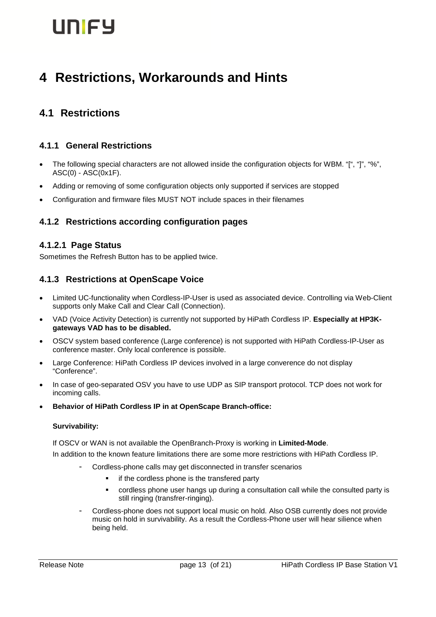# <span id="page-12-0"></span>**4 Restrictions, Workarounds and Hints**

# <span id="page-12-1"></span>**4.1 Restrictions**

#### <span id="page-12-2"></span>**4.1.1 General Restrictions**

- The following special characters are not allowed inside the configuration objects for WBM. "[", "]", "%", ASC(0) - ASC(0x1F).
- Adding or removing of some configuration objects only supported if services are stopped
- Configuration and firmware files MUST NOT include spaces in their filenames

#### <span id="page-12-3"></span>**4.1.2 Restrictions according configuration pages**

#### <span id="page-12-4"></span>**4.1.2.1 Page Status**

Sometimes the Refresh Button has to be applied twice.

#### <span id="page-12-5"></span>**4.1.3 Restrictions at OpenScape Voice**

- Limited UC-functionality when Cordless-IP-User is used as associated device. Controlling via Web-Client supports only Make Call and Clear Call (Connection).
- VAD (Voice Activity Detection) is currently not supported by HiPath Cordless IP. **Especially at HP3Kgateways VAD has to be disabled.**
- OSCV system based conference (Large conference) is not supported with HiPath Cordless-IP-User as conference master. Only local conference is possible.
- Large Conference: HiPath Cordless IP devices involved in a large converence do not display "Conference".
- In case of geo-separated OSV you have to use UDP as SIP transport protocol. TCP does not work for incoming calls.
- **Behavior of HiPath Cordless IP in at OpenScape Branch-office:**

#### **Survivability:**

If OSCV or WAN is not available the OpenBranch-Proxy is working in **Limited-Mode**.

In addition to the known feature limitations there are some more restrictions with HiPath Cordless IP.

- Cordless-phone calls may get disconnected in transfer scenarios
	- **i** if the cordless phone is the transfered party
	- cordless phone user hangs up during a consultation call while the consulted party is still ringing (transfrer-ringing).
- Cordless-phone does not support local music on hold. Also OSB currently does not provide music on hold in survivability. As a result the Cordless-Phone user will hear silience when being held.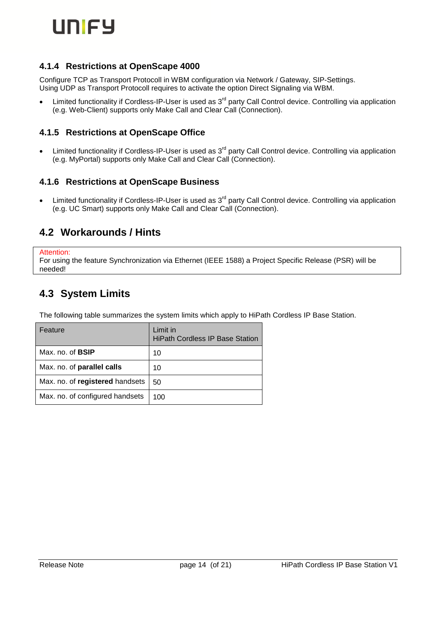

#### <span id="page-13-0"></span>**4.1.4 Restrictions at OpenScape 4000**

Configure TCP as Transport Protocoll in WBM configuration via Network / Gateway, SIP-Settings. Using UDP as Transport Protocoll requires to activate the option Direct Signaling via WBM.

<span id="page-13-1"></span>Limited functionality if Cordless-IP-User is used as 3<sup>rd</sup> party Call Control device. Controlling via application (e.g. Web-Client) supports only Make Call and Clear Call (Connection).

#### **4.1.5 Restrictions at OpenScape Office**

<span id="page-13-2"></span>Limited functionality if Cordless-IP-User is used as 3<sup>rd</sup> party Call Control device. Controlling via application (e.g. MyPortal) supports only Make Call and Clear Call (Connection).

#### **4.1.6 Restrictions at OpenScape Business**

<span id="page-13-3"></span>Limited functionality if Cordless-IP-User is used as 3<sup>rd</sup> party Call Control device. Controlling via application (e.g. UC Smart) supports only Make Call and Clear Call (Connection).

#### **4.2 Workarounds / Hints**

```
Attention:
```
<span id="page-13-4"></span>For using the feature Synchronization via Ethernet (IEEE 1588) a Project Specific Release (PSR) will be needed!

### **4.3 System Limits**

The following table summarizes the system limits which apply to HiPath Cordless IP Base Station.

| Feature                         | Limit in<br><b>HiPath Cordless IP Base Station</b> |
|---------------------------------|----------------------------------------------------|
| Max. no. of <b>BSIP</b>         | 10                                                 |
| Max. no. of parallel calls      | 10                                                 |
| Max. no. of registered handsets | 50                                                 |
| Max. no. of configured handsets | 100                                                |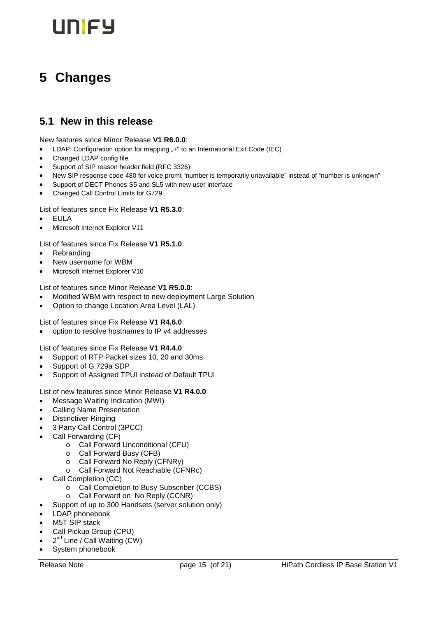# <span id="page-14-0"></span>**5 Changes**

## <span id="page-14-1"></span>**5.1 New in this release**

New features since Minor Release **V1 R6.0.0**:

- LDAP: Configuration option for mapping "+" to an International Exit Code (IEC)
- Changed LDAP config file
- Support of SIP reason header field (RFC 3326)
- New SIP response code 480 for voice promt "number is temporarily unavailable" instead of "number is unknown"
- Support of DECT Phones S5 and SL5 with new user interface
- Changed Call Control Limits for G729

#### List of features since Fix Release **V1 R5.3.0**:

- EULA
- Microsoft Internet Explorer V11

List of features since Fix Release **V1 R5.1.0**:

- Rebranding
- New username for WBM
- Microsoft Internet Explorer V10

List of features since Minor Release **V1 R5.0.0**:

- Modified WBM with respect to new deployment Large Solution
- Option to change Location Area Level (LAL)

List of features since Fix Release **V1 R4.6.0**:

option to resolve hostnames to IP v4 addresses

List of features since Fix Release **V1 R4.4.0**:

- Support of RTP Packet sizes 10, 20 and 30ms
- Support of G.729a SDP
- Support of Assigned TPUI instead of Default TPUI

List of new features since Minor Release **V1 R4.0.0**:

- Message Waiting Indication (MWI)
- Calling Name Presentation
- Distinctiver Ringing
- 3 Party Call Control (3PCC)
- Call Forwarding (CF)
	- o Call Forward Unconditional (CFU)
	- o Call Forward Busy (CFB)
	- o Call Forward No Reply (CFNRy)
	- o Call Forward Not Reachable (CFNRc)
- Call Completion (CC)
	- o Call Completion to Busy Subscriber (CCBS)
	- o Call Forward on No Reply (CCNR)
- Support of up to 300 Handsets (server solution only)
- LDAP phonebook
- M5T SIP stack
- Call Pickup Group (CPU)
- $\bullet$   $2^{nd}$  Line / Call Waiting (CW)
- System phonebook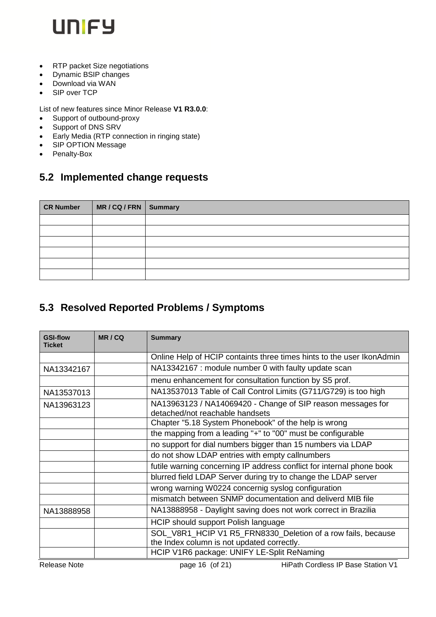

- RTP packet Size negotiations
- Dynamic BSIP changes
- Download via WAN
- SIP over TCP

List of new features since Minor Release **V1 R3.0.0**:

- Support of outbound-proxy
- Support of DNS SRV
- Early Media (RTP connection in ringing state)
- SIP OPTION Message
- <span id="page-15-0"></span>• Penalty-Box

# **5.2 Implemented change requests**

| <b>CR Number</b> | MR/CQ/FRN Summary |  |
|------------------|-------------------|--|
|                  |                   |  |
|                  |                   |  |
|                  |                   |  |
|                  |                   |  |
|                  |                   |  |
|                  |                   |  |

### <span id="page-15-1"></span>**5.3 Resolved Reported Problems / Symptoms**

| <b>GSI-flow</b><br><b>Ticket</b> | MR/CQ | <b>Summary</b>                                                                                             |  |
|----------------------------------|-------|------------------------------------------------------------------------------------------------------------|--|
|                                  |       | Online Help of HCIP containts three times hints to the user IkonAdmin                                      |  |
| NA13342167                       |       | NA13342167 : module number 0 with faulty update scan                                                       |  |
|                                  |       | menu enhancement for consultation function by S5 prof.                                                     |  |
| NA13537013                       |       | NA13537013 Table of Call Control Limits (G711/G729) is too high                                            |  |
| NA13963123                       |       | NA13963123 / NA14069420 - Change of SIP reason messages for<br>detached/not reachable handsets             |  |
|                                  |       | Chapter "5.18 System Phonebook" of the help is wrong                                                       |  |
|                                  |       | the mapping from a leading "+" to "00" must be configurable                                                |  |
|                                  |       | no support for dial numbers bigger than 15 numbers via LDAP                                                |  |
|                                  |       | do not show LDAP entries with empty callnumbers                                                            |  |
|                                  |       | futile warning concerning IP address conflict for internal phone book                                      |  |
|                                  |       | blurred field LDAP Server during try to change the LDAP server                                             |  |
|                                  |       | wrong warning W0224 concernig syslog configuration                                                         |  |
|                                  |       | mismatch between SNMP documentation and deliverd MIB file                                                  |  |
| NA13888958                       |       | NA13888958 - Daylight saving does not work correct in Brazilia                                             |  |
|                                  |       | HCIP should support Polish language                                                                        |  |
|                                  |       | SOL_V8R1_HCIP V1 R5_FRN8330_Deletion of a row fails, because<br>the Index column is not updated correctly. |  |
|                                  |       | HCIP V1R6 package: UNIFY LE-Split ReNaming                                                                 |  |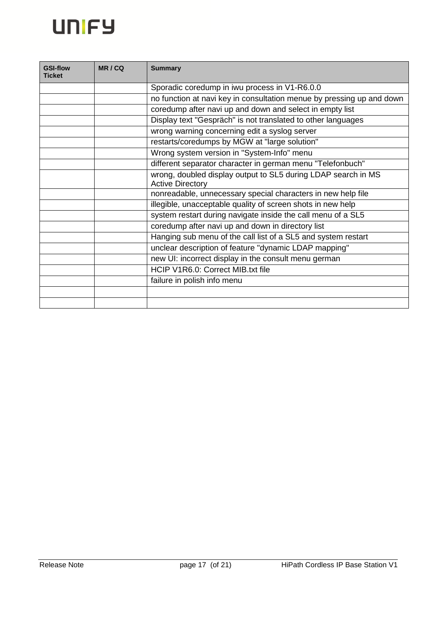

| <b>GSI-flow</b><br><b>Ticket</b> | MR/CQ | <b>Summary</b>                                                                           |  |  |  |
|----------------------------------|-------|------------------------------------------------------------------------------------------|--|--|--|
|                                  |       | Sporadic coredump in iwu process in V1-R6.0.0                                            |  |  |  |
|                                  |       | no function at navi key in consultation menue by pressing up and down                    |  |  |  |
|                                  |       | coredump after navi up and down and select in empty list                                 |  |  |  |
|                                  |       | Display text "Gespräch" is not translated to other languages                             |  |  |  |
|                                  |       | wrong warning concerning edit a syslog server                                            |  |  |  |
|                                  |       | restarts/coredumps by MGW at "large solution"                                            |  |  |  |
|                                  |       | Wrong system version in "System-Info" menu                                               |  |  |  |
|                                  |       | different separator character in german menu "Telefonbuch"                               |  |  |  |
|                                  |       | wrong, doubled display output to SL5 during LDAP search in MS<br><b>Active Directory</b> |  |  |  |
|                                  |       | nonreadable, unnecessary special characters in new help file                             |  |  |  |
|                                  |       | illegible, unacceptable quality of screen shots in new help                              |  |  |  |
|                                  |       | system restart during navigate inside the call menu of a SL5                             |  |  |  |
|                                  |       | coredump after navi up and down in directory list                                        |  |  |  |
|                                  |       | Hanging sub menu of the call list of a SL5 and system restart                            |  |  |  |
|                                  |       | unclear description of feature "dynamic LDAP mapping"                                    |  |  |  |
|                                  |       | new UI: incorrect display in the consult menu german                                     |  |  |  |
|                                  |       | HCIP V1R6.0: Correct MIB.txt file                                                        |  |  |  |
|                                  |       | failure in polish info menu                                                              |  |  |  |
|                                  |       |                                                                                          |  |  |  |
|                                  |       |                                                                                          |  |  |  |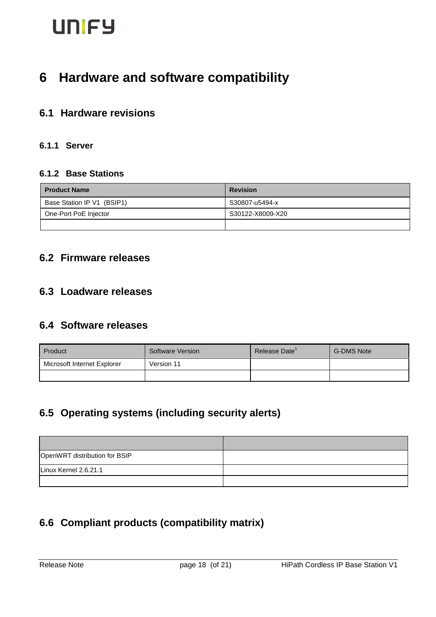# <span id="page-17-0"></span>**6 Hardware and software compatibility**

### <span id="page-17-1"></span>**6.1 Hardware revisions**

#### <span id="page-17-3"></span><span id="page-17-2"></span>**6.1.1 Server**

#### **6.1.2 Base Stations**

| <b>Product Name</b>        | <b>Revision</b>  |  |  |
|----------------------------|------------------|--|--|
| Base Station IP V1 (BSIP1) | S30807-u5494-x   |  |  |
| One-Port PoE Injector      | S30122-X8009-X20 |  |  |
|                            |                  |  |  |

## <span id="page-17-4"></span>**6.2 Firmware releases**

#### <span id="page-17-5"></span>**6.3 Loadware releases**

### <span id="page-17-6"></span>**6.4 Software releases**

| Product                     | Software Version | Release Date' | <b>G-DMS Note</b> |
|-----------------------------|------------------|---------------|-------------------|
| Microsoft Internet Explorer | Version 11       |               |                   |
|                             |                  |               |                   |

## <span id="page-17-7"></span>**6.5 Operating systems (including security alerts)**

| OpenWRT distribution for BSIP |  |
|-------------------------------|--|
| Linux Kernel 2.6.21.1         |  |
|                               |  |

# <span id="page-17-8"></span>**6.6 Compliant products (compatibility matrix)**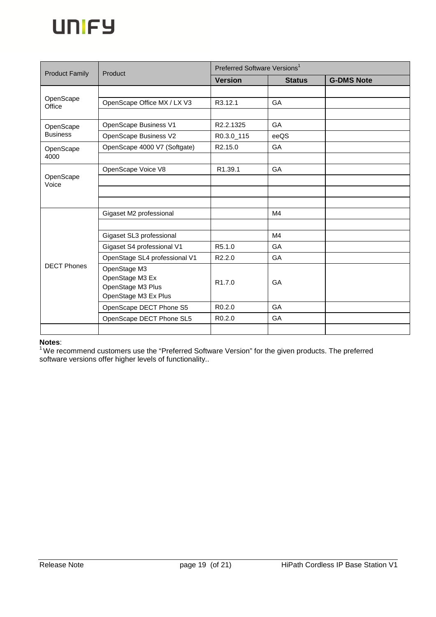

| <b>Product Family</b>        | Product                                                                      | Preferred Software Versions <sup>1</sup> |               |                   |
|------------------------------|------------------------------------------------------------------------------|------------------------------------------|---------------|-------------------|
|                              |                                                                              | <b>Version</b>                           | <b>Status</b> | <b>G-DMS Note</b> |
|                              |                                                                              |                                          |               |                   |
| OpenScape<br>Office          | OpenScape Office MX / LX V3                                                  | R3.12.1                                  | GA            |                   |
|                              |                                                                              |                                          |               |                   |
| OpenScape<br><b>Business</b> | OpenScape Business V1                                                        | R2.2.1325                                | GA            |                   |
|                              | OpenScape Business V2                                                        | R0.3.0_115                               | eeQS          |                   |
| OpenScape                    | OpenScape 4000 V7 (Softgate)                                                 | R <sub>2.15.0</sub>                      | GA            |                   |
| 4000                         |                                                                              |                                          |               |                   |
|                              | OpenScape Voice V8                                                           | R1.39.1                                  | GA            |                   |
| OpenScape<br>Voice           |                                                                              |                                          |               |                   |
|                              |                                                                              |                                          |               |                   |
|                              |                                                                              |                                          |               |                   |
|                              | Gigaset M2 professional                                                      |                                          | M4            |                   |
|                              |                                                                              |                                          |               |                   |
|                              | Gigaset SL3 professional                                                     |                                          | M4            |                   |
| <b>DECT Phones</b>           | Gigaset S4 professional V1                                                   | R5.1.0                                   | GA            |                   |
|                              | OpenStage SL4 professional V1                                                | R2.2.0                                   | GA            |                   |
|                              | OpenStage M3<br>OpenStage M3 Ex<br>OpenStage M3 Plus<br>OpenStage M3 Ex Plus | R <sub>1.7.0</sub>                       | GA            |                   |
|                              | OpenScape DECT Phone S5                                                      | R <sub>0.2.0</sub>                       | GA            |                   |
|                              | OpenScape DECT Phone SL5                                                     | R <sub>0.2.0</sub>                       | GA            |                   |
|                              |                                                                              |                                          |               |                   |

#### **Notes**:

<sup>1</sup>We recommend customers use the "Preferred Software Version" for the given products. The preferred software versions offer higher levels of functionality..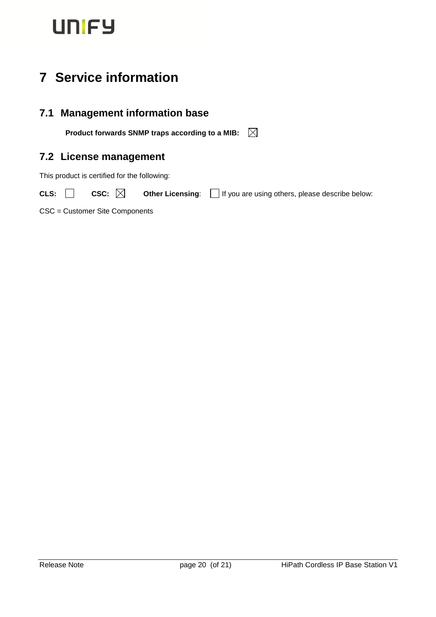# <span id="page-19-0"></span>**7 Service information**

## <span id="page-19-1"></span>**7.1 Management information base**

<span id="page-19-2"></span>**Product forwards SNMP traps according to a MIB:**

## **7.2 License management**

This product is certified for the following:

CLS: ◯ CSC: ◯ Other Licensing: ◯ If you are using others, please describe below:

CSC = Customer Site Components